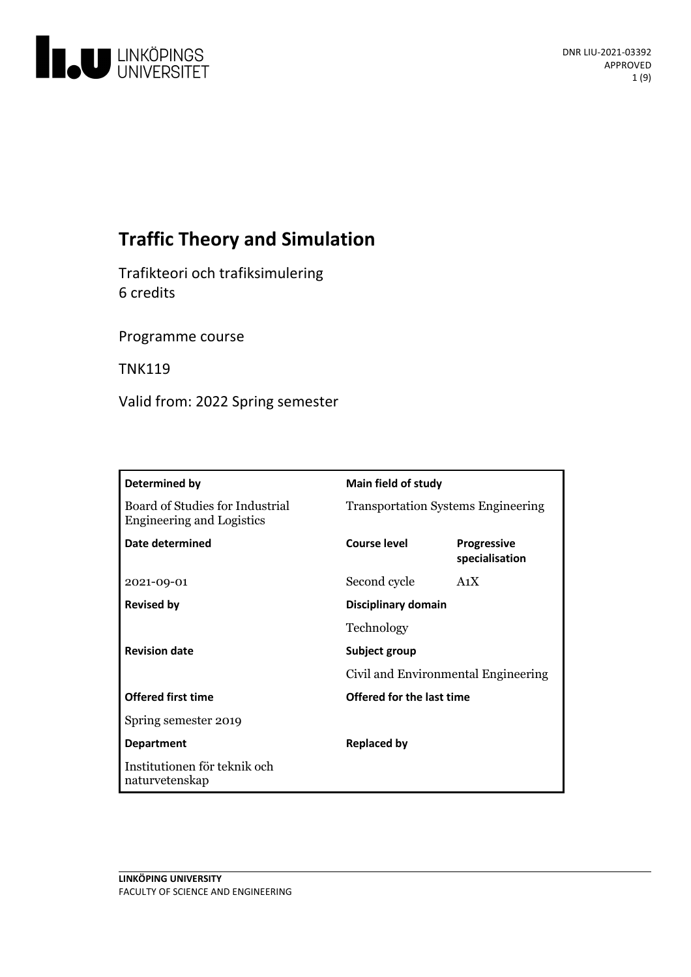

# **Traffic Theory and Simulation**

Trafikteori och trafiksimulering 6 credits

Programme course

TNK119

Valid from: 2022 Spring semester

| Determined by                                                       | Main field of study                       |                                      |
|---------------------------------------------------------------------|-------------------------------------------|--------------------------------------|
| Board of Studies for Industrial<br><b>Engineering and Logistics</b> | <b>Transportation Systems Engineering</b> |                                      |
| Date determined                                                     | Course level                              | <b>Progressive</b><br>specialisation |
| 2021-09-01                                                          | Second cycle                              | A <sub>1</sub> X                     |
| <b>Revised by</b>                                                   | Disciplinary domain                       |                                      |
|                                                                     | Technology                                |                                      |
| <b>Revision date</b>                                                | Subject group                             |                                      |
|                                                                     | Civil and Environmental Engineering       |                                      |
| <b>Offered first time</b>                                           | Offered for the last time                 |                                      |
| Spring semester 2019                                                |                                           |                                      |
| <b>Department</b>                                                   | <b>Replaced by</b>                        |                                      |
| Institutionen för teknik och<br>naturvetenskap                      |                                           |                                      |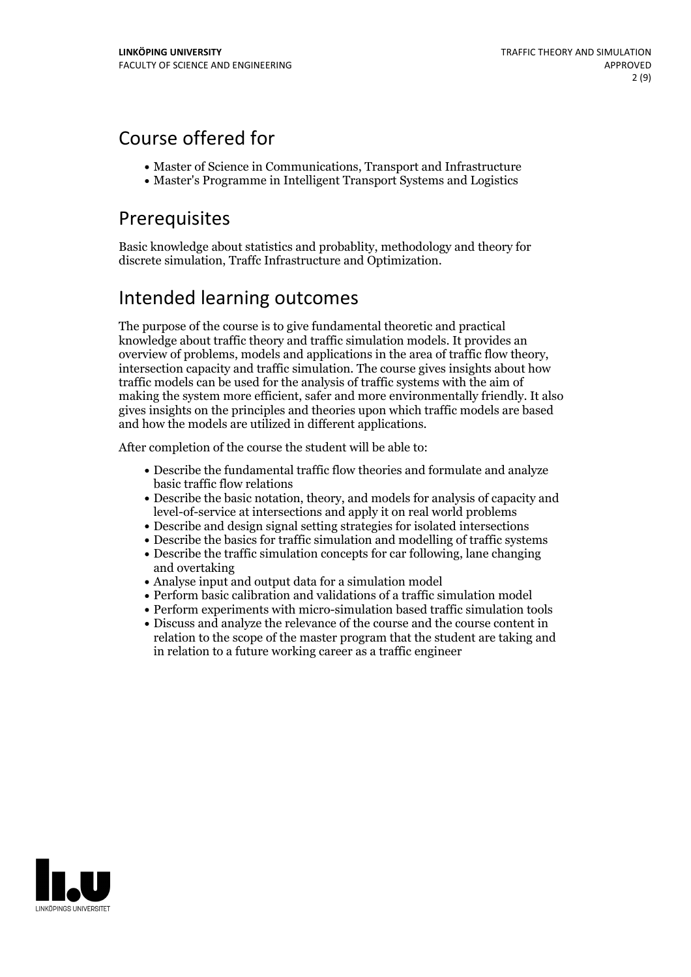# Course offered for

- Master of Science in Communications, Transport and Infrastructure
- Master's Programme in Intelligent Transport Systems and Logistics

# Prerequisites

Basic knowledge about statistics and probablity, methodology and theory for discrete simulation, Traffc Infrastructure and Optimization.

## Intended learning outcomes

The purpose of the course is to give fundamental theoretic and practical knowledge about traffic theory and traffic simulation models. It provides an overview of problems, models and applications in the area of traffic flow theory, intersection capacity and traffic simulation. The course gives insights about how traffic models can be used for the analysis of traffic systems with the aim of making the system more efficient, safer and more environmentally friendly. It also gives insights on the principles and theories upon which traffic models are based and how the models are utilized in different applications.

After completion of the course the student will be able to:

- Describe the fundamental traffic flow theories and formulate and analyze basic traffic flow relations
- Describe the basic notation, theory, and models for analysis of capacity and level-of-service at intersections and apply it on real world problems
- Describe and design signal setting strategies for isolated intersections
- Describe the basics for traffic simulation and modelling of traffic systems
- Describe the traffic simulation concepts for car following, lane changing and overtaking
- Analyse input and output data for a simulation model
- Perform basic calibration and validations of a traffic simulation model
- Perform experiments with micro-simulation based traffic simulation tools
- Discuss and analyze the relevance of the course and the course content in relation to the scope of the master program that the student are taking and in relation to a future working career as a traffic engineer

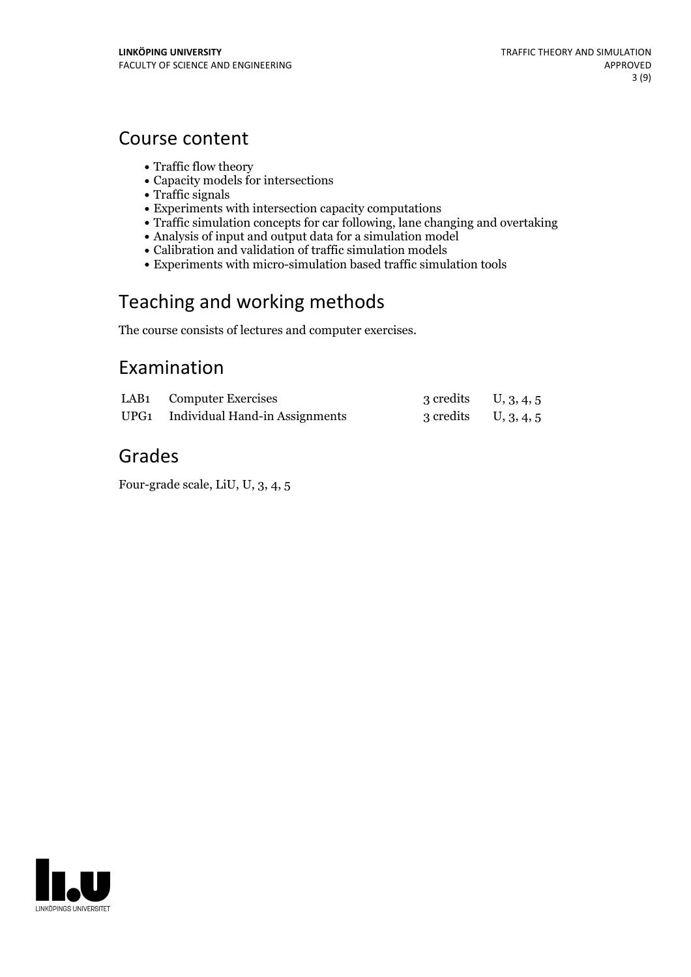## Course content

- Traffic flow theory
- Capacity models for intersections
- Traffic signals
- Experiments with intersection capacity computations
- Traffic simulation concepts for car following, lane changing and overtaking
- Analysis of input and output data for a simulation model
- Calibration and validation of traffic simulation models
- Experiments with micro-simulation based traffic simulation tools

# Teaching and working methods

The course consists of lectures and computer exercises.

## Examination

| LAB1 Computer Exercises             | 3 credits $U, 3, 4, 5$ |  |
|-------------------------------------|------------------------|--|
| UPG1 Individual Hand-in Assignments | 3 credits $U, 3, 4, 5$ |  |

# Grades

Four-grade scale, LiU, U, 3, 4, 5

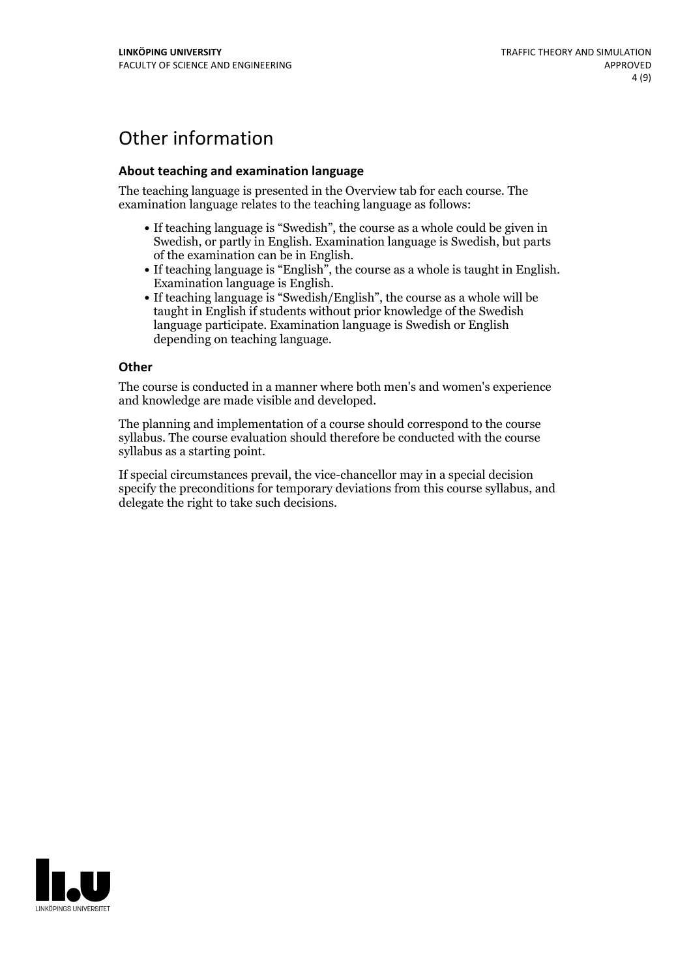# Other information

### **About teaching and examination language**

The teaching language is presented in the Overview tab for each course. The examination language relates to the teaching language as follows:

- If teaching language is "Swedish", the course as a whole could be given in Swedish, or partly in English. Examination language is Swedish, but parts
- of the examination can be in English. If teaching language is "English", the course as <sup>a</sup> whole is taught in English. Examination language is English. If teaching language is "Swedish/English", the course as <sup>a</sup> whole will be
- taught in English if students without prior knowledge of the Swedish language participate. Examination language is Swedish or English depending on teaching language.

#### **Other**

The course is conducted in a manner where both men's and women's experience and knowledge are made visible and developed.

The planning and implementation of a course should correspond to the course syllabus. The course evaluation should therefore be conducted with the course syllabus as a starting point.

If special circumstances prevail, the vice-chancellor may in a special decision specify the preconditions for temporary deviations from this course syllabus, and delegate the right to take such decisions.

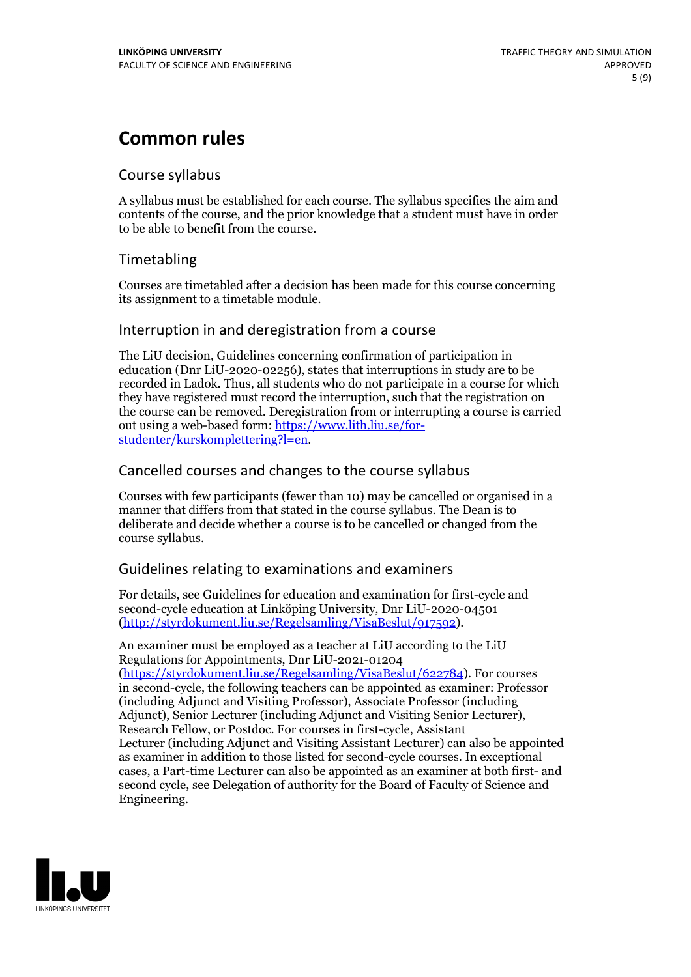# **Common rules**

### Course syllabus

A syllabus must be established for each course. The syllabus specifies the aim and contents of the course, and the prior knowledge that a student must have in order to be able to benefit from the course.

## Timetabling

Courses are timetabled after a decision has been made for this course concerning its assignment to a timetable module.

### Interruption in and deregistration from a course

The LiU decision, Guidelines concerning confirmation of participation in education (Dnr LiU-2020-02256), states that interruptions in study are to be recorded in Ladok. Thus, all students who do not participate in a course for which they have registered must record the interruption, such that the registration on the course can be removed. Deregistration from or interrupting a course is carried out using <sup>a</sup> web-based form: https://www.lith.liu.se/for- [studenter/kurskomplettering?l=en.](https://www.lith.liu.se/for-studenter/kurskomplettering?l=en)

## Cancelled courses and changes to the course syllabus

Courses with few participants (fewer than 10) may be cancelled or organised in a manner that differs from that stated in the course syllabus. The Dean is to deliberate and decide whether a course is to be cancelled or changed from the course syllabus.

## Guidelines relating to examinations and examiners

For details, see Guidelines for education and examination for first-cycle and second-cycle education at Linköping University, Dnr LiU-2020-04501 [\(http://styrdokument.liu.se/Regelsamling/VisaBeslut/917592\)](http://styrdokument.liu.se/Regelsamling/VisaBeslut/917592).

An examiner must be employed as a teacher at LiU according to the LiU Regulations for Appointments, Dnr LiU-2021-01204 [\(https://styrdokument.liu.se/Regelsamling/VisaBeslut/622784](https://styrdokument.liu.se/Regelsamling/VisaBeslut/622784)). For courses in second-cycle, the following teachers can be appointed as examiner: Professor (including Adjunct and Visiting Professor), Associate Professor (including Adjunct), Senior Lecturer (including Adjunct and Visiting Senior Lecturer), Research Fellow, or Postdoc. For courses in first-cycle, Assistant Lecturer (including Adjunct and Visiting Assistant Lecturer) can also be appointed as examiner in addition to those listed for second-cycle courses. In exceptional cases, a Part-time Lecturer can also be appointed as an examiner at both first- and second cycle, see Delegation of authority for the Board of Faculty of Science and Engineering.

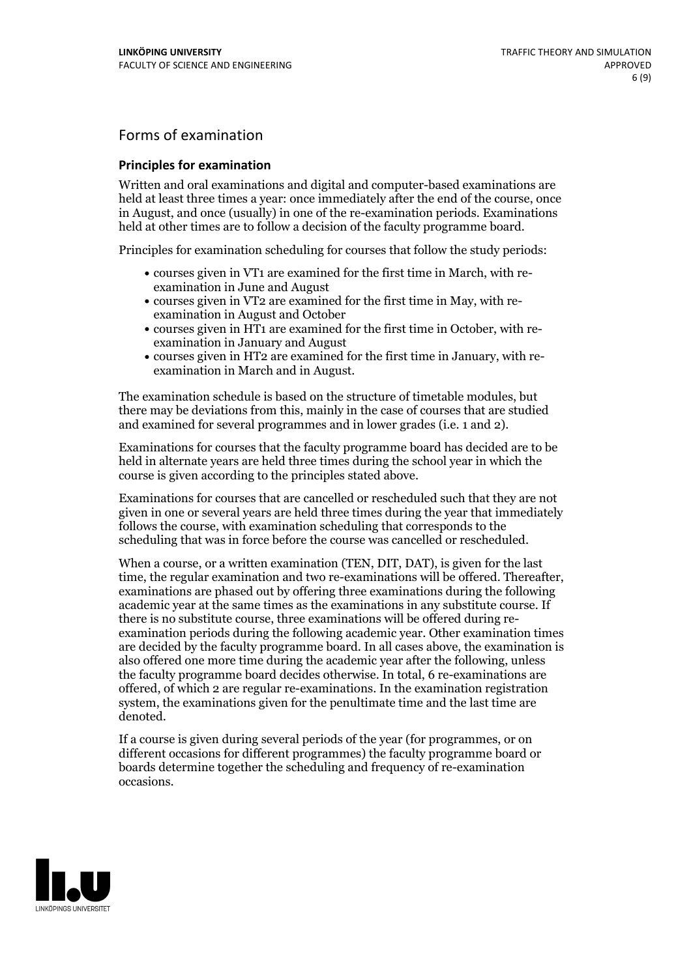## Forms of examination

### **Principles for examination**

Written and oral examinations and digital and computer-based examinations are held at least three times a year: once immediately after the end of the course, once in August, and once (usually) in one of the re-examination periods. Examinations held at other times are to follow a decision of the faculty programme board.

Principles for examination scheduling for courses that follow the study periods:

- courses given in VT1 are examined for the first time in March, with re-examination in June and August
- courses given in VT2 are examined for the first time in May, with re-examination in August and October
- courses given in HT1 are examined for the first time in October, with re-examination in January and August
- courses given in HT2 are examined for the first time in January, with re-examination in March and in August.

The examination schedule is based on the structure of timetable modules, but there may be deviations from this, mainly in the case of courses that are studied and examined for several programmes and in lower grades (i.e. 1 and 2).

Examinations for courses that the faculty programme board has decided are to be held in alternate years are held three times during the school year in which the course is given according to the principles stated above.

Examinations for courses that are cancelled orrescheduled such that they are not given in one or several years are held three times during the year that immediately follows the course, with examination scheduling that corresponds to the scheduling that was in force before the course was cancelled or rescheduled.

When a course, or a written examination (TEN, DIT, DAT), is given for the last time, the regular examination and two re-examinations will be offered. Thereafter, examinations are phased out by offering three examinations during the following academic year at the same times as the examinations in any substitute course. If there is no substitute course, three examinations will be offered during re- examination periods during the following academic year. Other examination times are decided by the faculty programme board. In all cases above, the examination is also offered one more time during the academic year after the following, unless the faculty programme board decides otherwise. In total, 6 re-examinations are offered, of which 2 are regular re-examinations. In the examination registration system, the examinations given for the penultimate time and the last time are denoted.

If a course is given during several periods of the year (for programmes, or on different occasions for different programmes) the faculty programme board or boards determine together the scheduling and frequency of re-examination occasions.

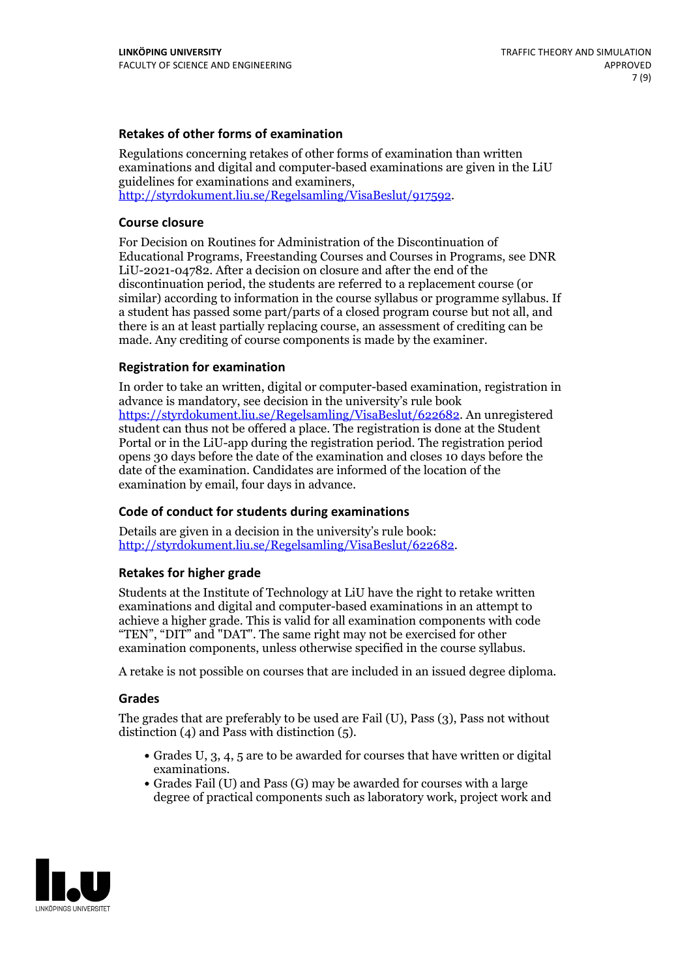### **Retakes of other forms of examination**

Regulations concerning retakes of other forms of examination than written examinations and digital and computer-based examinations are given in the LiU guidelines for examinations and examiners, [http://styrdokument.liu.se/Regelsamling/VisaBeslut/917592.](http://styrdokument.liu.se/Regelsamling/VisaBeslut/917592)

#### **Course closure**

For Decision on Routines for Administration of the Discontinuation of Educational Programs, Freestanding Courses and Courses in Programs, see DNR LiU-2021-04782. After a decision on closure and after the end of the discontinuation period, the students are referred to a replacement course (or similar) according to information in the course syllabus or programme syllabus. If a student has passed some part/parts of a closed program course but not all, and there is an at least partially replacing course, an assessment of crediting can be made. Any crediting of course components is made by the examiner.

#### **Registration for examination**

In order to take an written, digital or computer-based examination, registration in advance is mandatory, see decision in the university's rule book [https://styrdokument.liu.se/Regelsamling/VisaBeslut/622682.](https://styrdokument.liu.se/Regelsamling/VisaBeslut/622682) An unregistered student can thus not be offered a place. The registration is done at the Student Portal or in the LiU-app during the registration period. The registration period opens 30 days before the date of the examination and closes 10 days before the date of the examination. Candidates are informed of the location of the examination by email, four days in advance.

#### **Code of conduct for students during examinations**

Details are given in a decision in the university's rule book: <http://styrdokument.liu.se/Regelsamling/VisaBeslut/622682>.

#### **Retakes for higher grade**

Students at the Institute of Technology at LiU have the right to retake written examinations and digital and computer-based examinations in an attempt to achieve a higher grade. This is valid for all examination components with code "TEN", "DIT" and "DAT". The same right may not be exercised for other examination components, unless otherwise specified in the course syllabus.

A retake is not possible on courses that are included in an issued degree diploma.

#### **Grades**

The grades that are preferably to be used are Fail (U), Pass (3), Pass not without distinction  $(4)$  and Pass with distinction  $(5)$ .

- Grades U, 3, 4, 5 are to be awarded for courses that have written or digital examinations.<br>• Grades Fail (U) and Pass (G) may be awarded for courses with a large
- degree of practical components such as laboratory work, project work and

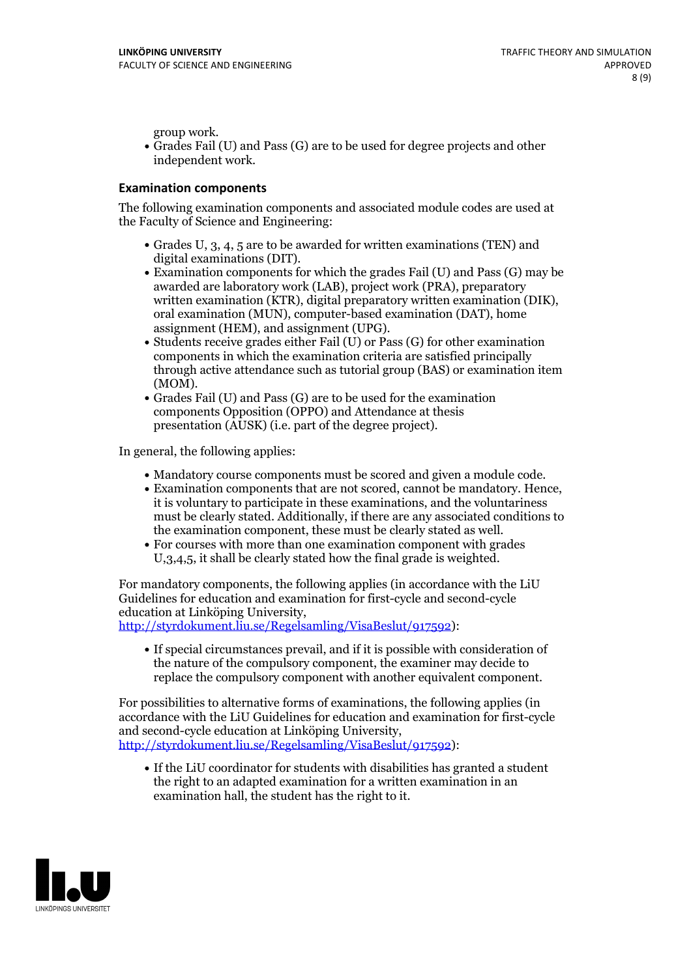group work.<br>• Grades Fail (U) and Pass (G) are to be used for degree projects and other independent work.

### **Examination components**

The following examination components and associated module codes are used at the Faculty of Science and Engineering:

- Grades U, 3, 4, 5 are to be awarded for written examinations (TEN) and
- digital examinations (DIT).<br>• Examination components for which the grades Fail (U) and Pass (G) may be awarded are laboratory work (LAB), project work (PRA), preparatory written examination (KTR), digital preparatory written examination (DIK), oral examination (MUN), computer-based examination (DAT), home
- assignment (HEM), and assignment (UPG).<br>• Students receive grades either Fail (U) or Pass (G) for other examination components in which the examination criteria are satisfied principally through active attendance such as tutorial group (BAS) or examination item
- (MOM).<br>• Grades Fail (U) and Pass (G) are to be used for the examination components Opposition (OPPO) and Attendance at thesis presentation (AUSK) (i.e. part of the degree project).

In general, the following applies:

- 
- Mandatory course components must be scored and given <sup>a</sup> module code. Examination components that are not scored, cannot be mandatory. Hence, it is voluntary to participate in these examinations, and the voluntariness must be clearly stated. Additionally, if there are any associated conditions to
- the examination component, these must be clearly stated as well.<br>• For courses with more than one examination component with grades U,3,4,5, it shall be clearly stated how the final grade is weighted.

For mandatory components, the following applies (in accordance with the LiU Guidelines for education and examination for first-cycle and second-cycle education at Linköping University,<br>[http://styrdokument.liu.se/Regelsamling/VisaBeslut/917592\)](http://styrdokument.liu.se/Regelsamling/VisaBeslut/917592):

If special circumstances prevail, and if it is possible with consideration of the nature of the compulsory component, the examiner may decide to replace the compulsory component with another equivalent component.

For possibilities to alternative forms of examinations, the following applies (in accordance with the LiU Guidelines for education and examination for first-cycle [http://styrdokument.liu.se/Regelsamling/VisaBeslut/917592\)](http://styrdokument.liu.se/Regelsamling/VisaBeslut/917592):

If the LiU coordinator for students with disabilities has granted a student the right to an adapted examination for a written examination in an examination hall, the student has the right to it.